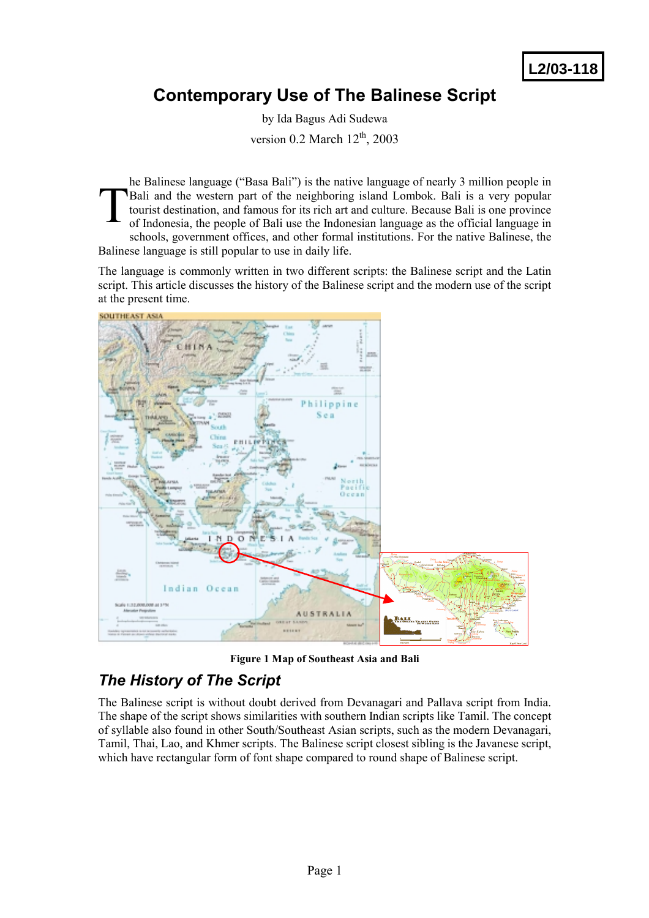**L2/03-118**

# **Contemporary Use of The Balinese Script**

by Ida Bagus Adi Sudewa version  $0.2$  March  $12<sup>th</sup>$ , 2003

he Balinese language ("Basa Bali") is the native language of nearly 3 million people in Bali and the western part of the neighboring island Lombok. Bali is a very popular tourist destination, and famous for its rich art and culture. Because Bali is one province of Indonesia, the people of Bali use the Indonesian language as the official language in schools, government offices, and other formal institutions. For the native Balinese, the Balinese language is still popular to use in daily life. T

The language is commonly written in two different scripts: the Balinese script and the Latin script. This article discusses the history of the Balinese script and the modern use of the script at the present time.



**Figure 1 Map of Southeast Asia and Bali** 

## *The History of The Script*

The Balinese script is without doubt derived from Devanagari and Pallava script from India. The shape of the script shows similarities with southern Indian scripts like Tamil. The concept of syllable also found in other South/Southeast Asian scripts, such as the modern Devanagari, Tamil, Thai, Lao, and Khmer scripts. The Balinese script closest sibling is the Javanese script, which have rectangular form of font shape compared to round shape of Balinese script.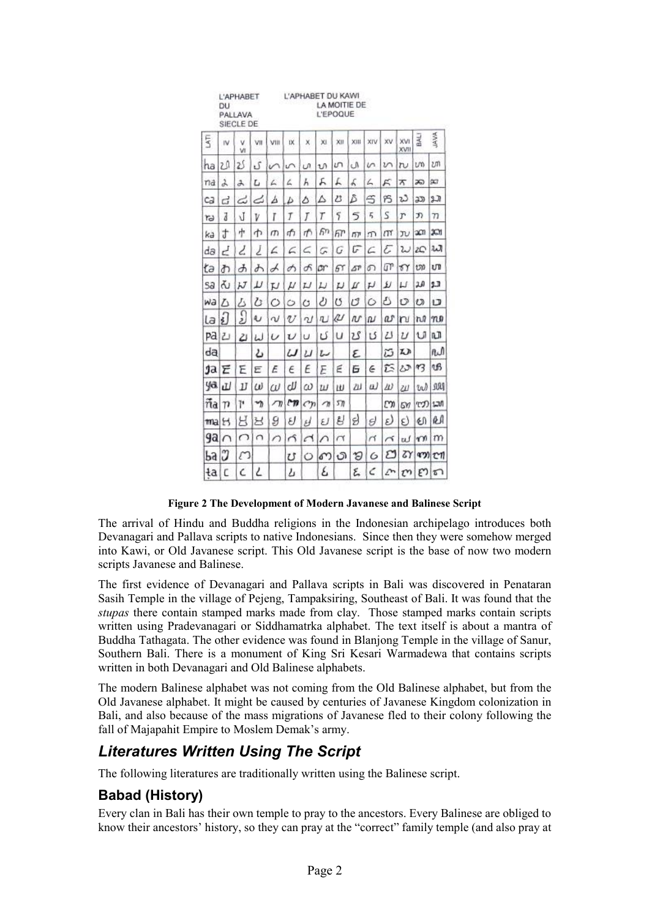|        | DU               | L'APHABET<br>PALLAVA<br>SIECLE DE |     |           |     | L'APHABET DU KAWI |        | <b>L'EPOQUE</b> | LA MOITIE DE |     |         |                           |     |             |
|--------|------------------|-----------------------------------|-----|-----------|-----|-------------------|--------|-----------------|--------------|-----|---------|---------------------------|-----|-------------|
| 5      | IV.              | v<br>VI                           | VII | VIII      | D.  | X                 | XI.    | XII.            | XIII         | XIV | XV      | <b>XVI</b><br><b>KVII</b> | 로   | <b>JAVA</b> |
| ha     | 2.0              | 2Ś                                | ۍ   | n         | S   | U)                | 1J)    | m               | Ō,           | ın  | ひへ      | $\mathfrak{v}$            | U)  | บท          |
| ma     | d                | み                                 | L   | L         | 4   | Н                 | д      | L               | L            | ム   | ĸ       | ѫ                         | 20  | $\infty$    |
| cа     | ದ                | نت                                | ے   | Δ         | Ь   | Δ                 | Δ      | 23              | δ            | S   | 95      | ಬ                         | යා  | 27          |
| ۳      | J                | J                                 | V   | Ĭ         | Ţ   | J                 | Т      | 5               | 5            | 5   | S       | r                         | J)  | 77          |
| ka     | t                | ψ                                 | Φ   | $\sigma$  | 币   | 币                 | Б'n    | FГ              | m            | m   | m       | $\overline{\nu}$          | эm  | ХM          |
| da     | Ε                | Ζ                                 | Ź   | L         | L   | ς                 | G      | G               | G            | c   | ε       | W                         | żС  | w           |
| łа     | ሕ                | y                                 | ふ   | А         | Α   | க                 | σr     | 67              | БP           | റ   | σr      | TY                        | m   | υTΙ         |
| Sa     | ను               | К                                 | ╜   | IJ        | μ   | IJ                | IJ     | ν               | Ц            | μ   | ับ      | Ц                         | 汕   | 2.3         |
| wa     | Л                | Δ                                 | ひ   | Õ         | Ò   | Ò                 | υ      | Ű               | ٣            | Ò   | ػ       | O                         | O   | IJ          |
| la     | į)               | $\Omega$                          | U   | N         | V   | Ù                 | πJ     | ĮИ              | πr           | N   | a       | 'n                        | ħĤ  | no          |
|        | Pal <sub>2</sub> | 21                                | لما | $\cup$    | υ   | υ                 | ک      | U               | Σ            | U   | z       | $\iota$                   | U   | nΠ          |
| dą     |                  |                                   | ఒ   |           | IJ  | υ                 | u      |                 | ε            |     | ద       | L)                        |     | nΛ          |
| ja     | Έ                | Έ                                 | ε   | Ē         | E   | E                 | Ε      | ε               | Б            | E   | ĩS      | ぴ                         | 93  | τß          |
| ya     | ıIJ              | IJ                                | ω   | ω         | сIJ | ω                 | Ш      | ш               | Ш            | Ш   | Ш       | Ш                         | ta) | Jaaq        |
| ña     | $_{\eta}$        | Þ                                 | m   | $\pi$     | rт  | $\epsilon$        | $\eta$ | 57)             |              |     | C٦      | <b>GY</b>                 |     | でつ にか       |
| $ma$ H |                  | H                                 | 뇐   | 9         | ઇ   | У                 | IJ     | g               | g            | s)  | E)      | S)                        | 创   | RΑ          |
| ga     | $\cap$           | ∩                                 | n   | $\bigcap$ | Ã   | Ч                 | ⌒      | π               |              | п   | $\prec$ | τJ                        | m   | m           |
| Ъa     | J                | n                                 |     |           | υ   | Ö                 | ഩ      | ා               | Э            | 6   | బ       | τY                        |     | ቁንን ይህ      |
| ła     | C                | Ć                                 | ۷   |           | Ŀ   |                   | ٤      |                 | ٤            | C   | L       | τη                        |     | どに          |

**Figure 2 The Development of Modern Javanese and Balinese Script** 

The arrival of Hindu and Buddha religions in the Indonesian archipelago introduces both Devanagari and Pallava scripts to native Indonesians. Since then they were somehow merged into Kawi, or Old Javanese script. This Old Javanese script is the base of now two modern scripts Javanese and Balinese.

The first evidence of Devanagari and Pallava scripts in Bali was discovered in Penataran Sasih Temple in the village of Pejeng, Tampaksiring, Southeast of Bali. It was found that the *stupas* there contain stamped marks made from clay. Those stamped marks contain scripts written using Pradevanagari or Siddhamatrka alphabet. The text itself is about a mantra of Buddha Tathagata. The other evidence was found in Blanjong Temple in the village of Sanur, Southern Bali. There is a monument of King Sri Kesari Warmadewa that contains scripts written in both Devanagari and Old Balinese alphabets.

The modern Balinese alphabet was not coming from the Old Balinese alphabet, but from the Old Javanese alphabet. It might be caused by centuries of Javanese Kingdom colonization in Bali, and also because of the mass migrations of Javanese fled to their colony following the fall of Majapahit Empire to Moslem Demak's army.

## *Literatures Written Using The Script*

The following literatures are traditionally written using the Balinese script.

## **Babad (History)**

Every clan in Bali has their own temple to pray to the ancestors. Every Balinese are obliged to know their ancestors' history, so they can pray at the "correct" family temple (and also pray at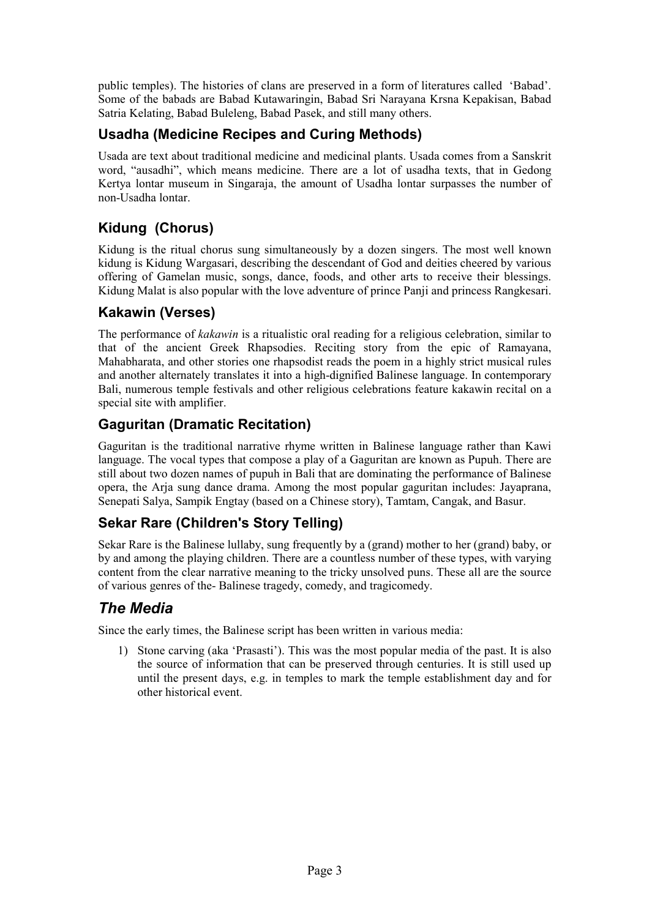public temples). The histories of clans are preserved in a form of literatures called 'Babad'. Some of the babads are Babad Kutawaringin, Babad Sri Narayana Krsna Kepakisan, Babad Satria Kelating, Babad Buleleng, Babad Pasek, and still many others.

#### **Usadha (Medicine Recipes and Curing Methods)**

Usada are text about traditional medicine and medicinal plants. Usada comes from a Sanskrit word, "ausadhi", which means medicine. There are a lot of usadha texts, that in Gedong Kertya lontar museum in Singaraja, the amount of Usadha lontar surpasses the number of non-Usadha lontar.

## **Kidung (Chorus)**

Kidung is the ritual chorus sung simultaneously by a dozen singers. The most well known kidung is Kidung Wargasari, describing the descendant of God and deities cheered by various offering of Gamelan music, songs, dance, foods, and other arts to receive their blessings. Kidung Malat is also popular with the love adventure of prince Panji and princess Rangkesari.

#### **Kakawin (Verses)**

The performance of *kakawin* is a ritualistic oral reading for a religious celebration, similar to that of the ancient Greek Rhapsodies. Reciting story from the epic of Ramayana, Mahabharata, and other stories one rhapsodist reads the poem in a highly strict musical rules and another alternately translates it into a high-dignified Balinese language. In contemporary Bali, numerous temple festivals and other religious celebrations feature kakawin recital on a special site with amplifier.

## **Gaguritan (Dramatic Recitation)**

Gaguritan is the traditional narrative rhyme written in Balinese language rather than Kawi language. The vocal types that compose a play of a Gaguritan are known as Pupuh. There are still about two dozen names of pupuh in Bali that are dominating the performance of Balinese opera, the Arja sung dance drama. Among the most popular gaguritan includes: Jayaprana, Senepati Salya, Sampik Engtay (based on a Chinese story), Tamtam, Cangak, and Basur.

## **Sekar Rare (Children's Story Telling)**

Sekar Rare is the Balinese lullaby, sung frequently by a (grand) mother to her (grand) baby, or by and among the playing children. There are a countless number of these types, with varying content from the clear narrative meaning to the tricky unsolved puns. These all are the source of various genres of the- Balinese tragedy, comedy, and tragicomedy.

## *The Media*

Since the early times, the Balinese script has been written in various media:

1) Stone carving (aka 'Prasasti'). This was the most popular media of the past. It is also the source of information that can be preserved through centuries. It is still used up until the present days, e.g. in temples to mark the temple establishment day and for other historical event.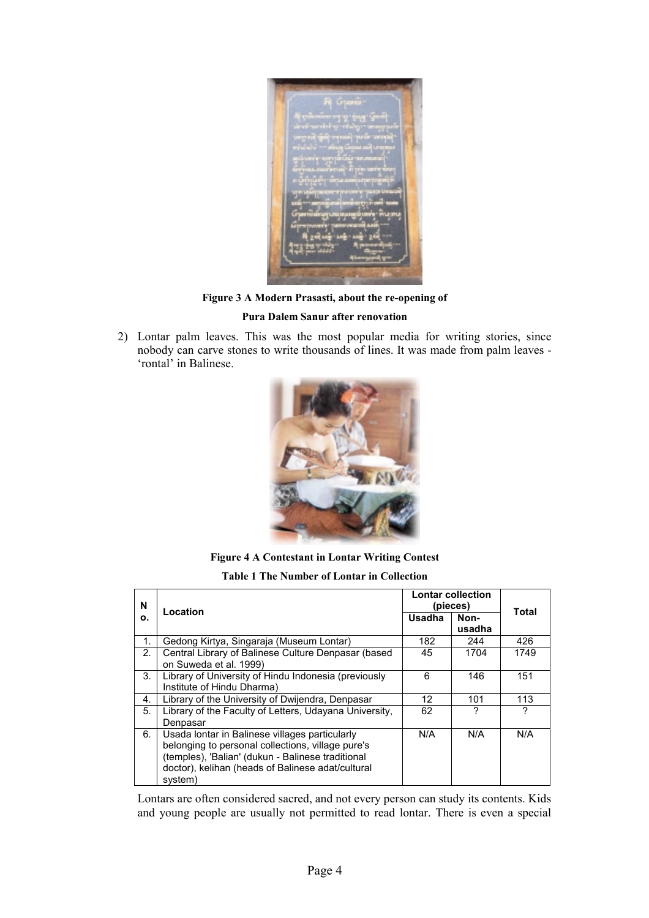

**Figure 3 A Modern Prasasti, about the re-opening of** 

#### **Pura Dalem Sanur after renovation**

2) Lontar palm leaves. This was the most popular media for writing stories, since nobody can carve stones to write thousands of lines. It was made from palm leaves - 'rontal' in Balinese.



**Figure 4 A Contestant in Lontar Writing Contest** 

**Table 1 The Number of Lontar in Collection** 

| N  | Location                                                                                                                                                                                                                 | <b>Lontar collection</b><br>(pieces) | Total          |      |  |
|----|--------------------------------------------------------------------------------------------------------------------------------------------------------------------------------------------------------------------------|--------------------------------------|----------------|------|--|
| о. |                                                                                                                                                                                                                          | Usadha                               | Non-<br>usadha |      |  |
| 1. | Gedong Kirtya, Singaraja (Museum Lontar)                                                                                                                                                                                 | 182                                  | 244            | 426  |  |
| 2. | Central Library of Balinese Culture Denpasar (based<br>on Suweda et al. 1999)                                                                                                                                            | 45                                   | 1704           | 1749 |  |
| 3. | Library of University of Hindu Indonesia (previously<br>Institute of Hindu Dharma)                                                                                                                                       | 6                                    | 146            | 151  |  |
| 4. | Library of the University of Dwijendra, Denpasar                                                                                                                                                                         | 12                                   | 101            | 113  |  |
| 5. | Library of the Faculty of Letters, Udayana University,<br>Denpasar                                                                                                                                                       | 62                                   | ?              | ?    |  |
| 6. | Usada lontar in Balinese villages particularly<br>belonging to personal collections, village pure's<br>(temples), 'Balian' (dukun - Balinese traditional<br>doctor), kelihan (heads of Balinese adat/cultural<br>system) | N/A                                  | N/A            | N/A  |  |

Lontars are often considered sacred, and not every person can study its contents. Kids and young people are usually not permitted to read lontar. There is even a special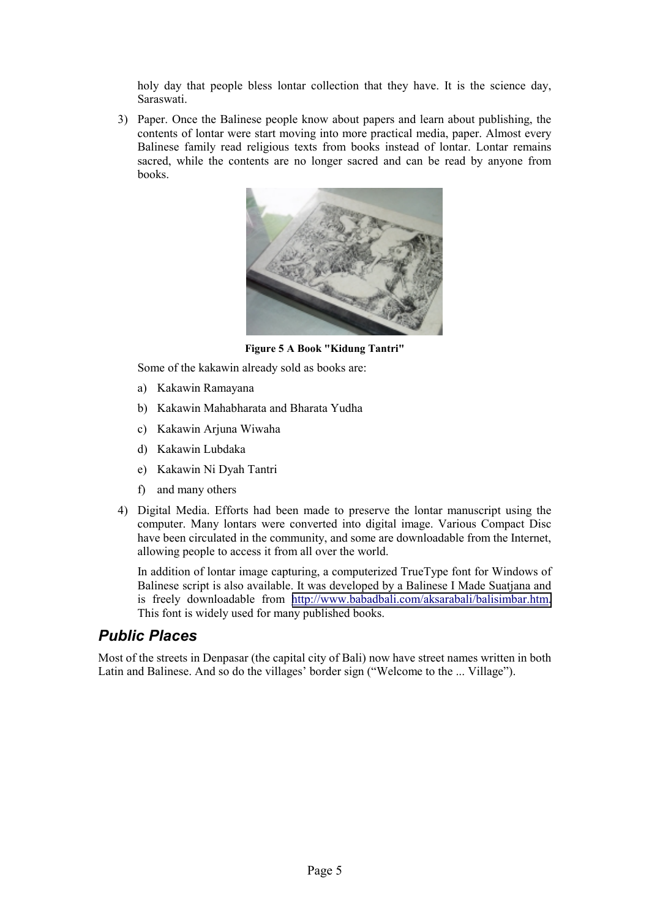holy day that people bless lontar collection that they have. It is the science day, Saraswati.

3) Paper. Once the Balinese people know about papers and learn about publishing, the contents of lontar were start moving into more practical media, paper. Almost every Balinese family read religious texts from books instead of lontar. Lontar remains sacred, while the contents are no longer sacred and can be read by anyone from books.



**Figure 5 A Book "Kidung Tantri"** 

Some of the kakawin already sold as books are:

- a) Kakawin Ramayana
- b) Kakawin Mahabharata and Bharata Yudha
- c) Kakawin Arjuna Wiwaha
- d) Kakawin Lubdaka
- e) Kakawin Ni Dyah Tantri
- f) and many others
- 4) Digital Media. Efforts had been made to preserve the lontar manuscript using the computer. Many lontars were converted into digital image. Various Compact Disc have been circulated in the community, and some are downloadable from the Internet, allowing people to access it from all over the world.

In addition of lontar image capturing, a computerized TrueType font for Windows of Balinese script is also available. It was developed by a Balinese I Made Suatjana and is freely downloadable from [http://www.babadbali.com/aksarabali/balisimbar.htm.](http://www.babadbali.com/aksarabali/balisimbar.htm) This font is widely used for many published books.

## *Public Places*

Most of the streets in Denpasar (the capital city of Bali) now have street names written in both Latin and Balinese. And so do the villages' border sign ("Welcome to the ... Village").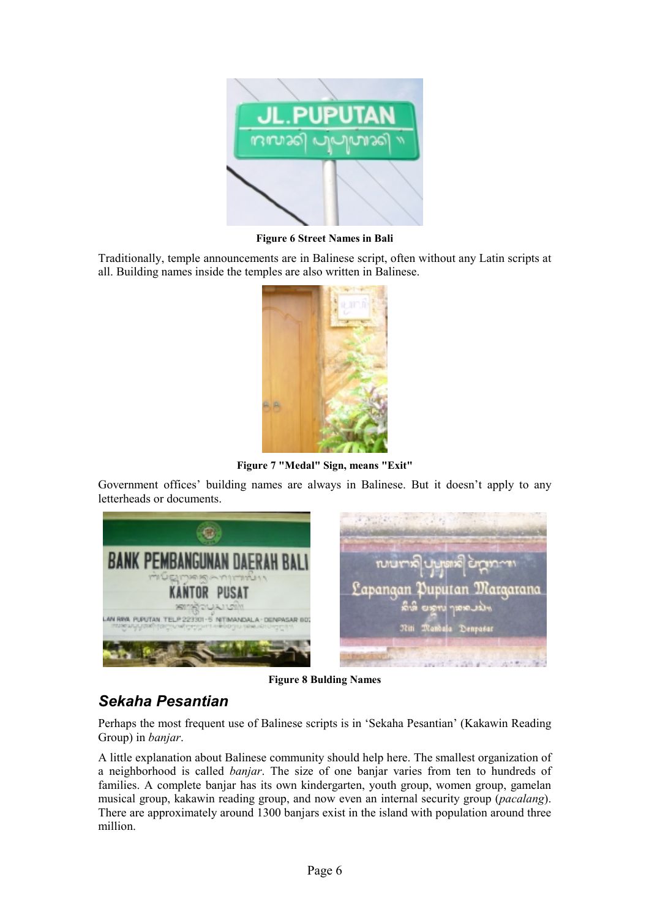

**Figure 6 Street Names in Bali**

Traditionally, temple announcements are in Balinese script, often without any Latin scripts at all. Building names inside the temples are also written in Balinese.



**Figure 7 "Medal" Sign, means "Exit"**

Government offices' building names are always in Balinese. But it doesn't apply to any letterheads or documents.



**Figure 8 Bulding Names** 

## *Sekaha Pesantian*

Perhaps the most frequent use of Balinese scripts is in 'Sekaha Pesantian' (Kakawin Reading Group) in *banjar*.

A little explanation about Balinese community should help here. The smallest organization of a neighborhood is called *banjar*. The size of one banjar varies from ten to hundreds of families. A complete banjar has its own kindergarten, youth group, women group, gamelan musical group, kakawin reading group, and now even an internal security group (*pacalang*). There are approximately around 1300 banjars exist in the island with population around three million.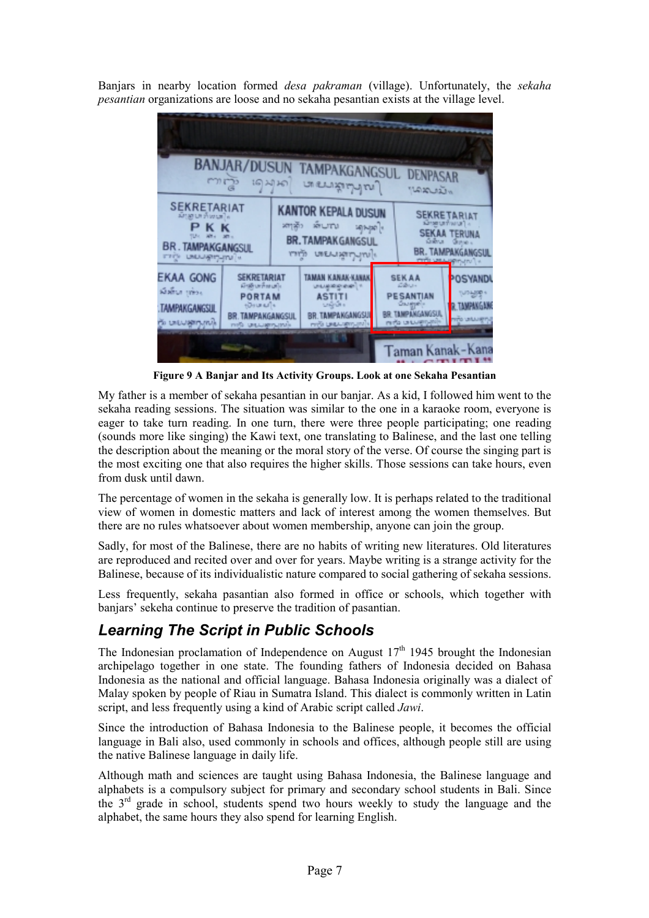Banjars in nearby location formed *desa pakraman* (village). Unfortunately, the *sekaha pesantian* organizations are loose and no sekaha pesantian exists at the village level.



**Figure 9 A Banjar and Its Activity Groups. Look at one Sekaha Pesantian**

My father is a member of sekaha pesantian in our banjar. As a kid, I followed him went to the sekaha reading sessions. The situation was similar to the one in a karaoke room, everyone is eager to take turn reading. In one turn, there were three people participating; one reading (sounds more like singing) the Kawi text, one translating to Balinese, and the last one telling the description about the meaning or the moral story of the verse. Of course the singing part is the most exciting one that also requires the higher skills. Those sessions can take hours, even from dusk until dawn.

The percentage of women in the sekaha is generally low. It is perhaps related to the traditional view of women in domestic matters and lack of interest among the women themselves. But there are no rules whatsoever about women membership, anyone can join the group.

Sadly, for most of the Balinese, there are no habits of writing new literatures. Old literatures are reproduced and recited over and over for years. Maybe writing is a strange activity for the Balinese, because of its individualistic nature compared to social gathering of sekaha sessions.

Less frequently, sekaha pasantian also formed in office or schools, which together with banjars' sekeha continue to preserve the tradition of pasantian.

#### *Learning The Script in Public Schools*

The Indonesian proclamation of Independence on August  $17<sup>th</sup>$  1945 brought the Indonesian archipelago together in one state. The founding fathers of Indonesia decided on Bahasa Indonesia as the national and official language. Bahasa Indonesia originally was a dialect of Malay spoken by people of Riau in Sumatra Island. This dialect is commonly written in Latin script, and less frequently using a kind of Arabic script called *Jawi*.

Since the introduction of Bahasa Indonesia to the Balinese people, it becomes the official language in Bali also, used commonly in schools and offices, although people still are using the native Balinese language in daily life.

Although math and sciences are taught using Bahasa Indonesia, the Balinese language and alphabets is a compulsory subject for primary and secondary school students in Bali. Since the 3rd grade in school, students spend two hours weekly to study the language and the alphabet, the same hours they also spend for learning English.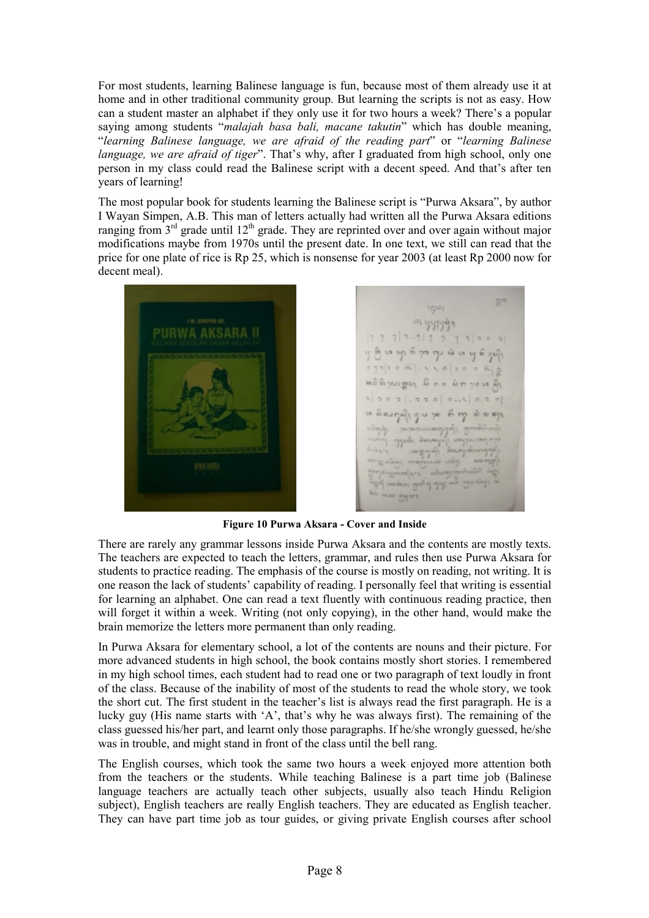For most students, learning Balinese language is fun, because most of them already use it at home and in other traditional community group. But learning the scripts is not as easy. How can a student master an alphabet if they only use it for two hours a week? There's a popular saying among students "*malajah basa bali, macane takutin*" which has double meaning, "*learning Balinese language, we are afraid of the reading part*" or "*learning Balinese language, we are afraid of tiger*". That's why, after I graduated from high school, only one person in my class could read the Balinese script with a decent speed. And that's after ten years of learning!

The most popular book for students learning the Balinese script is "Purwa Aksara", by author I Wayan Simpen, A.B. This man of letters actually had written all the Purwa Aksara editions ranging from  $3<sup>rd</sup>$  grade until  $12<sup>th</sup>$  grade. They are reprinted over and over again without major modifications maybe from 1970s until the present date. In one text, we still can read that the price for one plate of rice is Rp 25, which is nonsense for year 2003 (at least Rp 2000 now for decent meal).



m yypyig  $1 7 7 | 3 \cdots 7 | 7 7 7 1 3 | 3 0$ ကြီး ပေး ပက္က ကို ကုန္း လံုး ပေး ယူ ဆိ ອລິທິງພາຫຼວງ ມີ ກຸກ ພິການ ທ່ີຍິງ  $50001.5500...$  $201$ ယော မါဆက္၍ ၅၀၇၈ ၈ ကွာ ထဲ စရား Types derived mathias Help for forest readered by **PY HIP AN** 

**Figure 10 Purwa Aksara - Cover and Inside** 

There are rarely any grammar lessons inside Purwa Aksara and the contents are mostly texts. The teachers are expected to teach the letters, grammar, and rules then use Purwa Aksara for students to practice reading. The emphasis of the course is mostly on reading, not writing. It is one reason the lack of students' capability of reading. I personally feel that writing is essential for learning an alphabet. One can read a text fluently with continuous reading practice, then will forget it within a week. Writing (not only copying), in the other hand, would make the brain memorize the letters more permanent than only reading.

In Purwa Aksara for elementary school, a lot of the contents are nouns and their picture. For more advanced students in high school, the book contains mostly short stories. I remembered in my high school times, each student had to read one or two paragraph of text loudly in front of the class. Because of the inability of most of the students to read the whole story, we took the short cut. The first student in the teacher's list is always read the first paragraph. He is a lucky guy (His name starts with 'A', that's why he was always first). The remaining of the class guessed his/her part, and learnt only those paragraphs. If he/she wrongly guessed, he/she was in trouble, and might stand in front of the class until the bell rang.

The English courses, which took the same two hours a week enjoyed more attention both from the teachers or the students. While teaching Balinese is a part time job (Balinese language teachers are actually teach other subjects, usually also teach Hindu Religion subject), English teachers are really English teachers. They are educated as English teacher. They can have part time job as tour guides, or giving private English courses after school